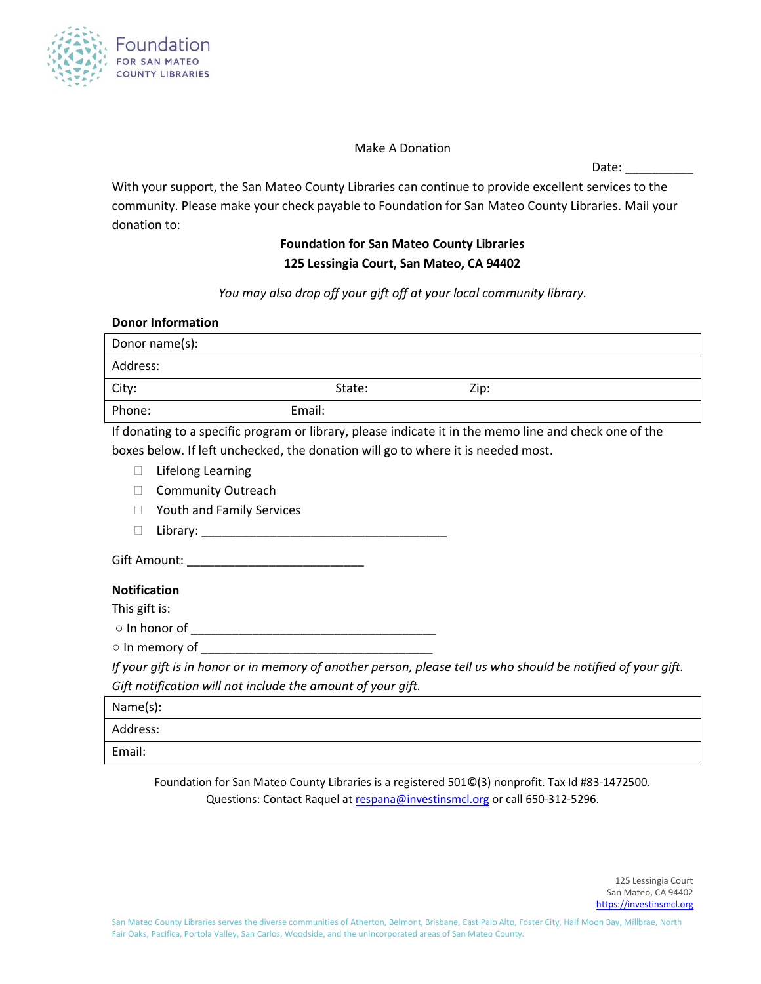

Make A Donation

Date:

With your support, the San Mateo County Libraries can continue to provide excellent services to the community. Please make your check payable to Foundation for San Mateo County Libraries. Mail your donation to:

## **Foundation for San Mateo County Libraries 125 Lessingia Court, San Mateo, CA 94402**

*You may also drop off your gift off at your local community library.*

| <b>Donor Information</b>                                                                                     |        |      |  |  |
|--------------------------------------------------------------------------------------------------------------|--------|------|--|--|
| Donor name(s):                                                                                               |        |      |  |  |
| Address:                                                                                                     |        |      |  |  |
| City:                                                                                                        | State: | Zip: |  |  |
| Phone:<br>Email:                                                                                             |        |      |  |  |
| If donating to a specific program or library, please indicate it in the memo line and check one of the       |        |      |  |  |
| boxes below. If left unchecked, the donation will go to where it is needed most.                             |        |      |  |  |
| <b>Lifelong Learning</b><br>$\Box$                                                                           |        |      |  |  |
| <b>Community Outreach</b>                                                                                    |        |      |  |  |
| Youth and Family Services                                                                                    |        |      |  |  |
| Library: Library:<br>П                                                                                       |        |      |  |  |
|                                                                                                              |        |      |  |  |
| <b>Notification</b>                                                                                          |        |      |  |  |
| This gift is:                                                                                                |        |      |  |  |
|                                                                                                              |        |      |  |  |
|                                                                                                              |        |      |  |  |
| If your gift is in honor or in memory of another person, please tell us who should be notified of your gift. |        |      |  |  |
| Gift notification will not include the amount of your gift.                                                  |        |      |  |  |
| Name(s):                                                                                                     |        |      |  |  |
| Address:                                                                                                     |        |      |  |  |
| Email:                                                                                                       |        |      |  |  |

Foundation for San Mateo County Libraries is a registered 501©(3) nonprofit. Tax Id #83-1472500. Questions: Contact Raquel at [respana@investinsmcl.org](mailto:respana@investinsmcl.org) or call 650-312-5296.